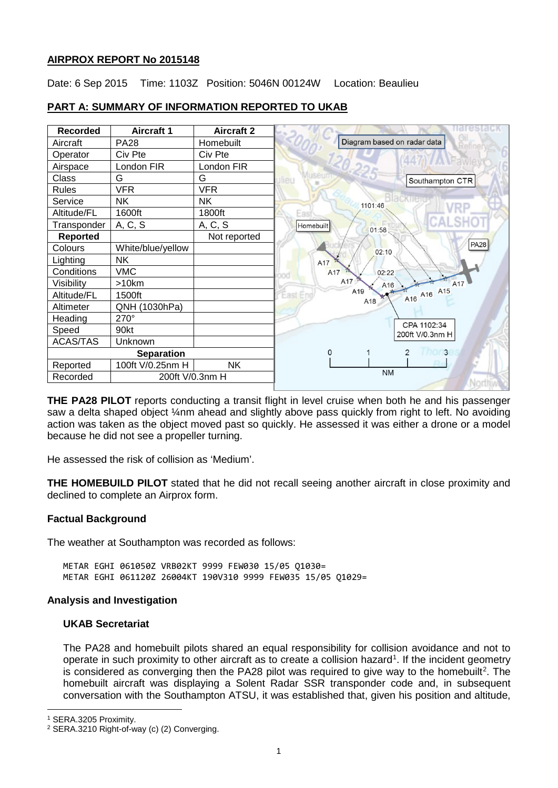# **AIRPROX REPORT No 2015148**

Date: 6 Sep 2015 Time: 1103Z Position: 5046N 00124W Location: Beaulieu



# **PART A: SUMMARY OF INFORMATION REPORTED TO UKAB**

**THE PA28 PILOT** reports conducting a transit flight in level cruise when both he and his passenger saw a delta shaped object ¼nm ahead and slightly above pass quickly from right to left. No avoiding action was taken as the object moved past so quickly. He assessed it was either a drone or a model because he did not see a propeller turning.

He assessed the risk of collision as 'Medium'.

**THE HOMEBUILD PILOT** stated that he did not recall seeing another aircraft in close proximity and declined to complete an Airprox form.

# **Factual Background**

The weather at Southampton was recorded as follows:

METAR EGHI 061050Z VRB02KT 9999 FEW030 15/05 Q1030= METAR EGHI 061120Z 26004KT 190V310 9999 FEW035 15/05 Q1029=

#### **Analysis and Investigation**

# **UKAB Secretariat**

The PA28 and homebuilt pilots shared an equal responsibility for collision avoidance and not to operate in such proximity to other aircraft as to create a collision hazard<sup>[1](#page-0-0)</sup>. If the incident geometry is considered as converging then the PA[2](#page-0-1)8 pilot was required to give way to the homebuilt<sup>2</sup>. The homebuilt aircraft was displaying a Solent Radar SSR transponder code and, in subsequent conversation with the Southampton ATSU, it was established that, given his position and altitude,

l

<span id="page-0-0"></span><sup>1</sup> SERA.3205 Proximity.

<span id="page-0-1"></span><sup>2</sup> SERA.3210 Right-of-way (c) (2) Converging.